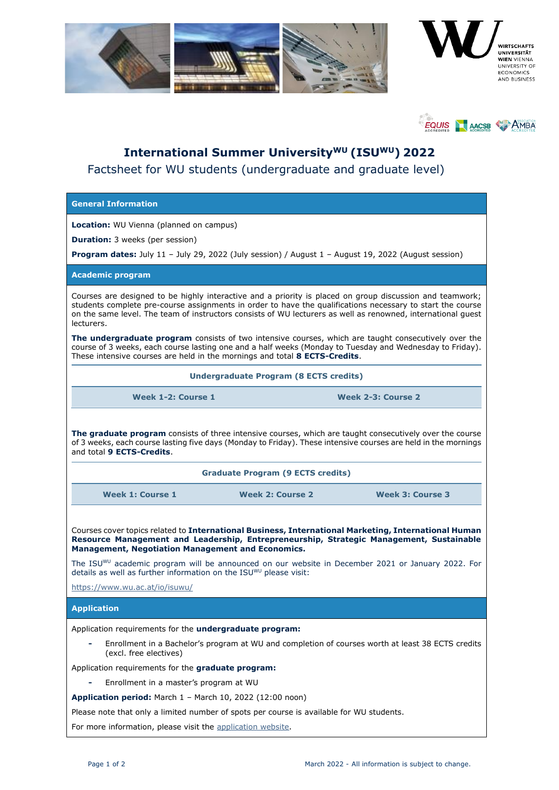



## **International Summer UniversityWU (ISUWU) 2022** Factsheet for WU students (undergraduate and graduate level)

## **General Information**

**Location:** WU Vienna (planned on campus)

**Duration:** 3 weeks (per session)

**Program dates:** July 11 – July 29, 2022 (July session) / August 1 – August 19, 2022 (August session)

**Academic program**

Courses are designed to be highly interactive and a priority is placed on group discussion and teamwork; students complete pre-course assignments in order to have the qualifications necessary to start the course on the same level. The team of instructors consists of WU lecturers as well as renowned, international guest lecturers.

**The undergraduate program** consists of two intensive courses, which are taught consecutively over the course of 3 weeks, each course lasting one and a half weeks (Monday to Tuesday and Wednesday to Friday). These intensive courses are held in the mornings and total **8 ECTS-Credits**.

**Undergraduate Program (8 ECTS credits)**

**Week 1-2: Course 1 Week 2-3: Course 2**

**The graduate program** consists of three intensive courses, which are taught consecutively over the course of 3 weeks, each course lasting five days (Monday to Friday). These intensive courses are held in the mornings and total **9 ECTS-Credits**.

| <b>Graduate Program (9 ECTS credits)</b> |  |  |
|------------------------------------------|--|--|
|                                          |  |  |

**Week 1: Course 1 Week 2: Course 2 Week 3: Course 3**

Courses cover topics related to **International Business, International Marketing, International Human Resource Management and Leadership, Entrepreneurship, Strategic Management, Sustainable Management, Negotiation Management and Economics.** 

The ISUWU academic program will be announced on our website in December 2021 or January 2022. For details as well as further information on the ISUWU please visit:

<https://www.wu.ac.at/io/isuwu/>

**Application**

Application requirements for the **undergraduate program:**

**-** Enrollment in a Bachelor's program at WU and completion of courses worth at least 38 ECTS credits (excl. free electives)

Application requirements for the **graduate program:**

**-** Enrollment in a master's program at WU

**Application period:** March 1 – March 10, 2022 (12:00 noon)

Please note that only a limited number of spots per course is available for WU students.

For more information, please visit the [application website.](https://www.wu.ac.at/en/students/study-internationally/international-short-programs-for-wu-students/application)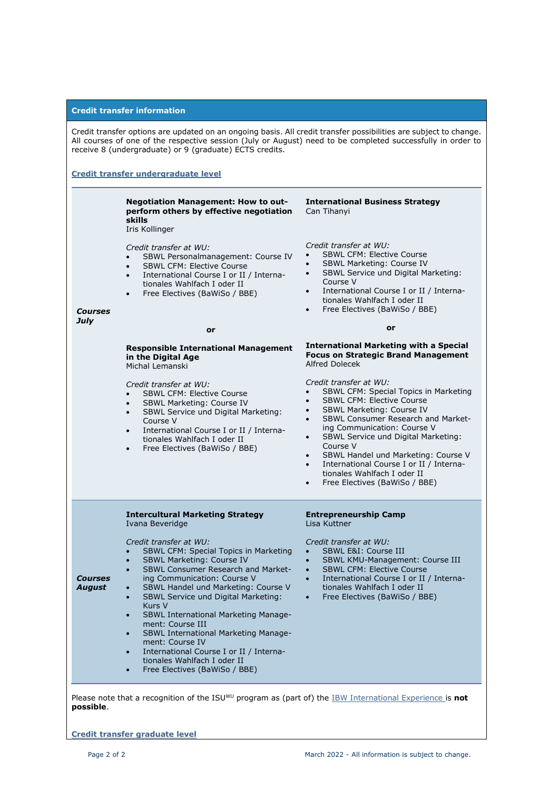|                                                                                                                                                                                                                                                                                             | <b>Credit transfer information</b>                                                                                                                                                                                                                                                                                                                                                                                                                                                                                                                                                                  |                                                                                                                                                                                                                                                                                                                                                                                                                                                                                                                    |  |  |
|---------------------------------------------------------------------------------------------------------------------------------------------------------------------------------------------------------------------------------------------------------------------------------------------|-----------------------------------------------------------------------------------------------------------------------------------------------------------------------------------------------------------------------------------------------------------------------------------------------------------------------------------------------------------------------------------------------------------------------------------------------------------------------------------------------------------------------------------------------------------------------------------------------------|--------------------------------------------------------------------------------------------------------------------------------------------------------------------------------------------------------------------------------------------------------------------------------------------------------------------------------------------------------------------------------------------------------------------------------------------------------------------------------------------------------------------|--|--|
| Credit transfer options are updated on an ongoing basis. All credit transfer possibilities are subject to change.<br>All courses of one of the respective session (July or August) need to be completed successfully in order to<br>receive 8 (undergraduate) or 9 (graduate) ECTS credits. |                                                                                                                                                                                                                                                                                                                                                                                                                                                                                                                                                                                                     |                                                                                                                                                                                                                                                                                                                                                                                                                                                                                                                    |  |  |
| Credit transfer undergraduate level                                                                                                                                                                                                                                                         |                                                                                                                                                                                                                                                                                                                                                                                                                                                                                                                                                                                                     |                                                                                                                                                                                                                                                                                                                                                                                                                                                                                                                    |  |  |
|                                                                                                                                                                                                                                                                                             | Negotiation Management: How to out-<br>perform others by effective negotiation<br>skills<br>Iris Kollinger                                                                                                                                                                                                                                                                                                                                                                                                                                                                                          | <b>International Business Strategy</b><br>Can Tihanyi                                                                                                                                                                                                                                                                                                                                                                                                                                                              |  |  |
| <b>Courses</b>                                                                                                                                                                                                                                                                              | Credit transfer at WU:<br>SBWL Personalmanagement: Course IV<br><b>SBWL CFM: Elective Course</b><br>International Course I or II / Interna-<br>$\bullet$<br>tionales Wahlfach I oder II<br>Free Electives (BaWiSo / BBE)<br>$\bullet$                                                                                                                                                                                                                                                                                                                                                               | Credit transfer at WU:<br><b>SBWL CFM: Elective Course</b><br>SBWL Marketing: Course IV<br>$\bullet$<br>SBWL Service und Digital Marketing:<br>$\bullet$<br>Course V<br>International Course I or II / Interna-<br>$\bullet$<br>tionales Wahlfach I oder II<br>Free Electives (BaWiSo / BBE)<br>$\bullet$                                                                                                                                                                                                          |  |  |
| <b>July</b>                                                                                                                                                                                                                                                                                 | or                                                                                                                                                                                                                                                                                                                                                                                                                                                                                                                                                                                                  | or                                                                                                                                                                                                                                                                                                                                                                                                                                                                                                                 |  |  |
|                                                                                                                                                                                                                                                                                             | <b>Responsible International Management</b><br>in the Digital Age<br>Michal Lemanski                                                                                                                                                                                                                                                                                                                                                                                                                                                                                                                | <b>International Marketing with a Special</b><br><b>Focus on Strategic Brand Management</b><br>Alfred Dolecek                                                                                                                                                                                                                                                                                                                                                                                                      |  |  |
|                                                                                                                                                                                                                                                                                             | Credit transfer at WU:<br><b>SBWL CFM: Elective Course</b><br>SBWL Marketing: Course IV<br>SBWL Service und Digital Marketing:<br>Course V<br>International Course I or II / Interna-<br>$\bullet$<br>tionales Wahlfach I oder II<br>Free Electives (BaWiSo / BBE)<br>$\bullet$                                                                                                                                                                                                                                                                                                                     | Credit transfer at WU:<br>SBWL CFM: Special Topics in Marketing<br>$\bullet$<br><b>SBWL CFM: Elective Course</b><br>$\bullet$<br>SBWL Marketing: Course IV<br>$\bullet$<br>SBWL Consumer Research and Market-<br>$\bullet$<br>ing Communication: Course V<br>SBWL Service und Digital Marketing:<br>$\bullet$<br>Course V<br>SBWL Handel und Marketing: Course V<br>$\bullet$<br>International Course I or II / Interna-<br>$\bullet$<br>tionales Wahlfach I oder II<br>Free Electives (BaWiSo / BBE)<br>$\bullet$ |  |  |
|                                                                                                                                                                                                                                                                                             | <b>Intercultural Marketing Strategy</b><br>Ivana Beveridge                                                                                                                                                                                                                                                                                                                                                                                                                                                                                                                                          | <b>Entrepreneurship Camp</b><br>Lisa Kuttner                                                                                                                                                                                                                                                                                                                                                                                                                                                                       |  |  |
| <b>Courses</b><br><b>August</b>                                                                                                                                                                                                                                                             | Credit transfer at WU:<br>SBWL CFM: Special Topics in Marketing<br>SBWL Marketing: Course IV<br>$\bullet$<br>SBWL Consumer Research and Market-<br>$\bullet$<br>ing Communication: Course V<br>SBWL Handel und Marketing: Course V<br>$\bullet$<br>SBWL Service und Digital Marketing:<br>$\bullet$<br>Kurs V<br>SBWL International Marketing Manage-<br>$\bullet$<br>ment: Course III<br>SBWL International Marketing Manage-<br>$\bullet$<br>ment: Course IV<br>International Course I or II / Interna-<br>$\bullet$<br>tionales Wahlfach I oder II<br>Free Electives (BaWiSo / BBE)<br>$\bullet$ | Credit transfer at WU:<br>SBWL E&I: Course III<br>$\bullet$<br>SBWL KMU-Management: Course III<br>$\bullet$<br><b>SBWL CFM: Elective Course</b><br>$\bullet$<br>International Course I or II / Interna-<br>$\bullet$<br>tionales Wahlfach I oder II<br>Free Electives (BaWiSo / BBE)<br>$\bullet$                                                                                                                                                                                                                  |  |  |

Please note that a recognition of the ISU<sup>WU</sup> program as (part of) the **IBW** International Experience is **not possible**.

**Credit transfer graduate level**